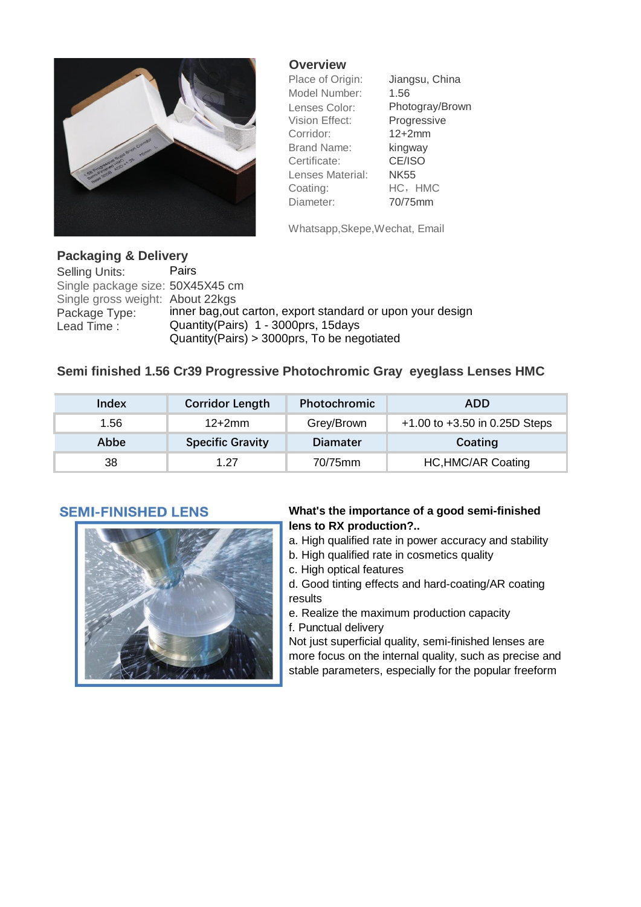

## **Overview**

Model Number: 1.56 Vision Effect: Progressive Corridor: 12+2mm Brand Name: kingway Certificate: CE/ISO Lenses Material: NK55 Coating: HC, HMC

Place of Origin: Jiangsu, China Lenses Color: Photogray/Brown Diameter: 70/75mm

Whatsapp,Skepe,Wechat, Email

# **Packaging & Delivery**

Selling Units: Pairs Single package size: 50X45X45 cm Single gross weight: About 22kas Package Type: inner bag, out carton, export standard or upon your design<br>Lead Time: Quantity(Pairs) 1 - 3000prs, 15days Quantity(Pairs) 1 - 3000prs, 15days Quantity(Pairs) > 3000prs, To be negotiated

## **Semi finished 1.56 Cr39 Progressive Photochromic Gray eyeglass Lenses HMC**

| Index | <b>Corridor Length</b>  | <b>Photochromic</b> | <b>ADD</b>                        |
|-------|-------------------------|---------------------|-----------------------------------|
| 1.56  | $12+2mm$                | Grey/Brown          | $+1.00$ to $+3.50$ in 0.25D Steps |
| Abbe  | <b>Specific Gravity</b> | <b>Diamater</b>     | Coating                           |
| 38    | 1 27                    | 70/75mm             | <b>HC, HMC/AR Coating</b>         |

## **SEMI-FINISHED LENS**



### **What's the importance of a good semi-finished lens to RX production?..**

- a. High qualified rate in power accuracy and stability
- b. High qualified rate in cosmetics quality
- c. High optical features

d. Good tinting effects and hard-coating/AR coating results

e. Realize the maximum production capacity f. Punctual delivery

Not just superficial quality, semi-finished lenses are more focus on the internal quality, such as precise and stable parameters, especially for the popular freeform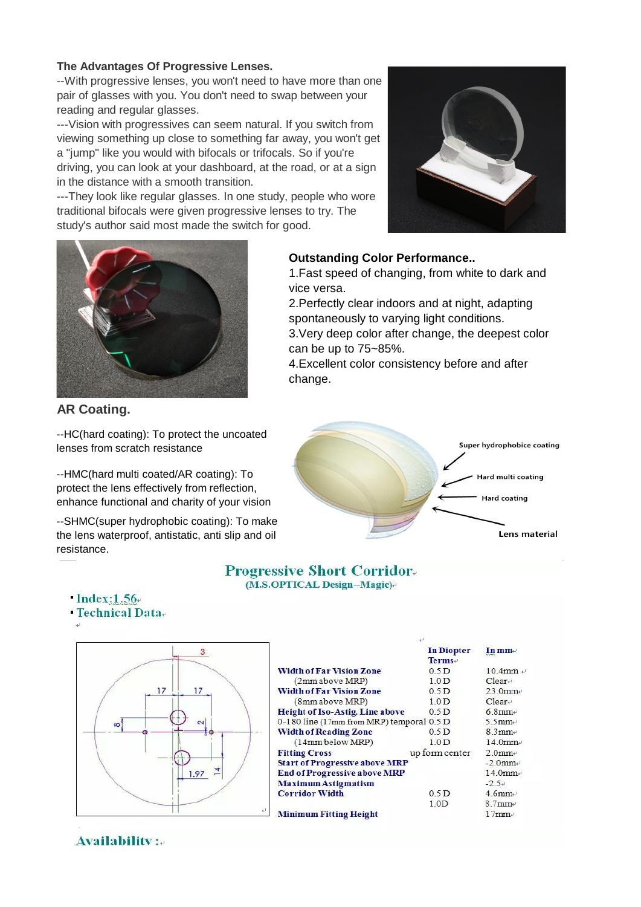#### **The Advantages Of Progressive Lenses.**

--With progressive lenses, you won't need to have more than one pair of glasses with you. You don't need to swap between your reading and regular glasses.

---Vision with progressives can seem natural. If you switch from viewing something up close to something far away, you won't get a "jump" like you would with bifocals or trifocals. So if you're driving, you can look at your dashboard, at the road, or at a sign in the distance with a smooth transition.

---They look like regular glasses. In one study, people who wore traditional bifocals were given progressive lenses to try. The study's author said most made the switch for good.





**AR Coating.**

--HC(hard coating): To protect the uncoated lenses from scratch resistance

--HMC(hard multi coated/AR coating): To protect the lens effectively from reflection, enhance functional and charity of your vision

--SHMC(super hydrophobic coating): To make the lens waterproof, antistatic, anti slip and oil resistance.

**Outstanding Color Performance..**

1.Fast speed of changing, from white to dark and vice versa.

2.Perfectly clear indoors and at night, adapting spontaneously to varying light conditions. 3.Very deep color after change, the deepest color

can be up to 75~85%. 4.Excellent color consistency before and after

change.



#### **Progressive Short Corridor.** (M.S.OPTICAL Design-Magic)

|                    |                                           | <b>In Diopter</b><br>$Terms+$ | In mm-                 |
|--------------------|-------------------------------------------|-------------------------------|------------------------|
|                    | <b>Width of Far Vision Zone</b>           | 0.5 <sub>D</sub>              | $10.4$ mm              |
|                    | (2mm above MRP)                           | 1.0 <sub>D</sub>              | $Clear \leftarrow$     |
| 17<br>17           | <b>Width of Far Vision Zone</b>           | 0.5 <sub>D</sub>              | $23.0$ mm              |
|                    | (8mm above MRP)                           | 1.0 <sub>D</sub>              | $Clear \leftarrow$     |
|                    | <b>Height of Iso-Astig. Line above</b>    | 0.5 <sub>D</sub>              | $6.8$ mm               |
| $\sim$<br>$\infty$ | 0-180 line (17mm from MRP) temporal 0.5 D |                               | 5.5 $mm+$              |
|                    | <b>Width of Reading Zone</b>              | 0.5 <sub>D</sub>              | $8.3$ mm+              |
|                    | (14mm below MRP)                          | 1.0 <sub>D</sub>              | $14.0$ mm <sup>e</sup> |
|                    | <b>Fitting Cross</b>                      | up form center                | $2.0$ mm+              |
|                    | <b>Start of Progressive above MRP</b>     |                               | $-2.0$ mm+             |
| 1.97               | <b>End of Progressive above MRP</b>       |                               | $14.0$ mm $\approx$    |
|                    | <b>Maximum Astigmatism</b>                |                               | $-2.5+$                |
|                    | <b>Corridor Width</b>                     | 0.5 <sub>D</sub>              | $4.6$ mm <sup>+</sup>  |
|                    |                                           | 1.0 <sub>D</sub>              | $8.7$ mm+              |
|                    | <b>Minimum Fitting Height</b>             |                               | $17$ mm                |

## $Index:1.56.$

**• Technical Data-**

**Availability** :